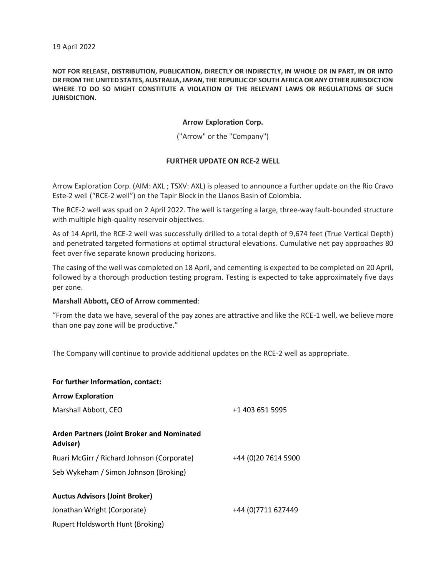# **NOT FOR RELEASE, DISTRIBUTION, PUBLICATION, DIRECTLY OR INDIRECTLY, IN WHOLE OR IN PART, IN OR INTO OR FROM THE UNITED STATES, AUSTRALIA, JAPAN, THE REPUBLIC OF SOUTH AFRICA OR ANY OTHER JURISDICTION WHERE TO DO SO MIGHT CONSTITUTE A VIOLATION OF THE RELEVANT LAWS OR REGULATIONS OF SUCH JURISDICTION.**

# **Arrow Exploration Corp.**

("Arrow" or the "Company")

## **FURTHER UPDATE ON RCE-2 WELL**

Arrow Exploration Corp. (AIM: AXL ; TSXV: AXL) is pleased to announce a further update on the Rio Cravo Este-2 well ("RCE-2 well") on the Tapir Block in the Llanos Basin of Colombia.

The RCE-2 well was spud on 2 April 2022. The well is targeting a large, three-way fault-bounded structure with multiple high-quality reservoir objectives.

As of 14 April, the RCE-2 well was successfully drilled to a total depth of 9,674 feet (True Vertical Depth) and penetrated targeted formations at optimal structural elevations. Cumulative net pay approaches 80 feet over five separate known producing horizons.

The casing of the well was completed on 18 April, and cementing is expected to be completed on 20 April, followed by a thorough production testing program. Testing is expected to take approximately five days per zone.

### **Marshall Abbott, CEO of Arrow commented**:

"From the data we have, several of the pay zones are attractive and like the RCE-1 well, we believe more than one pay zone will be productive."

The Company will continue to provide additional updates on the RCE-2 well as appropriate.

| For further Information, contact:                                     |                     |
|-----------------------------------------------------------------------|---------------------|
| <b>Arrow Exploration</b>                                              |                     |
| Marshall Abbott, CEO                                                  | +1 403 651 5995     |
| <b>Arden Partners (Joint Broker and Nominated</b><br><b>Adviser</b> ) |                     |
| Ruari McGirr / Richard Johnson (Corporate)                            | +44 (0)20 7614 5900 |
| Seb Wykeham / Simon Johnson (Broking)                                 |                     |
| <b>Auctus Advisors (Joint Broker)</b>                                 |                     |
| Jonathan Wright (Corporate)                                           | +44 (0) 7711 627449 |
| Rupert Holdsworth Hunt (Broking)                                      |                     |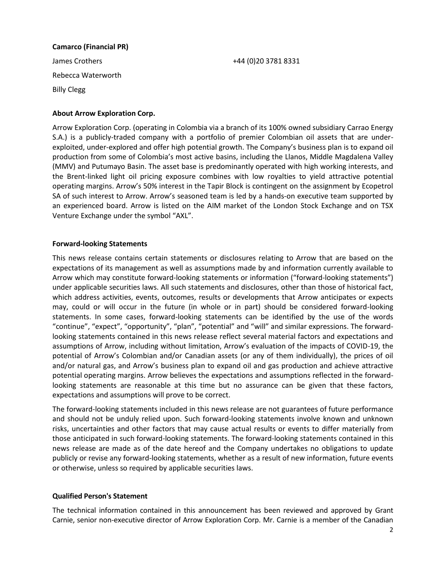### **Camarco (Financial PR)**

James Crothers +44 (0)20 3781 8331 Rebecca Waterworth Billy Clegg

## **About Arrow Exploration Corp.**

Arrow Exploration Corp. (operating in Colombia via a branch of its 100% owned subsidiary Carrao Energy S.A.) is a publicly-traded company with a portfolio of premier Colombian oil assets that are underexploited, under-explored and offer high potential growth. The Company's business plan is to expand oil production from some of Colombia's most active basins, including the Llanos, Middle Magdalena Valley (MMV) and Putumayo Basin. The asset base is predominantly operated with high working interests, and the Brent-linked light oil pricing exposure combines with low royalties to yield attractive potential operating margins. Arrow's 50% interest in the Tapir Block is contingent on the assignment by Ecopetrol SA of such interest to Arrow. Arrow's seasoned team is led by a hands-on executive team supported by an experienced board. Arrow is listed on the AIM market of the London Stock Exchange and on TSX Venture Exchange under the symbol "AXL".

## **Forward-looking Statements**

This news release contains certain statements or disclosures relating to Arrow that are based on the expectations of its management as well as assumptions made by and information currently available to Arrow which may constitute forward-looking statements or information ("forward-looking statements") under applicable securities laws. All such statements and disclosures, other than those of historical fact, which address activities, events, outcomes, results or developments that Arrow anticipates or expects may, could or will occur in the future (in whole or in part) should be considered forward-looking statements. In some cases, forward-looking statements can be identified by the use of the words "continue", "expect", "opportunity", "plan", "potential" and "will" and similar expressions. The forwardlooking statements contained in this news release reflect several material factors and expectations and assumptions of Arrow, including without limitation, Arrow's evaluation of the impacts of COVID-19, the potential of Arrow's Colombian and/or Canadian assets (or any of them individually), the prices of oil and/or natural gas, and Arrow's business plan to expand oil and gas production and achieve attractive potential operating margins. Arrow believes the expectations and assumptions reflected in the forwardlooking statements are reasonable at this time but no assurance can be given that these factors, expectations and assumptions will prove to be correct.

The forward-looking statements included in this news release are not guarantees of future performance and should not be unduly relied upon. Such forward-looking statements involve known and unknown risks, uncertainties and other factors that may cause actual results or events to differ materially from those anticipated in such forward-looking statements. The forward-looking statements contained in this news release are made as of the date hereof and the Company undertakes no obligations to update publicly or revise any forward-looking statements, whether as a result of new information, future events or otherwise, unless so required by applicable securities laws.

### **Qualified Person's Statement**

The technical information contained in this announcement has been reviewed and approved by Grant Carnie, senior non-executive director of Arrow Exploration Corp. Mr. Carnie is a member of the Canadian